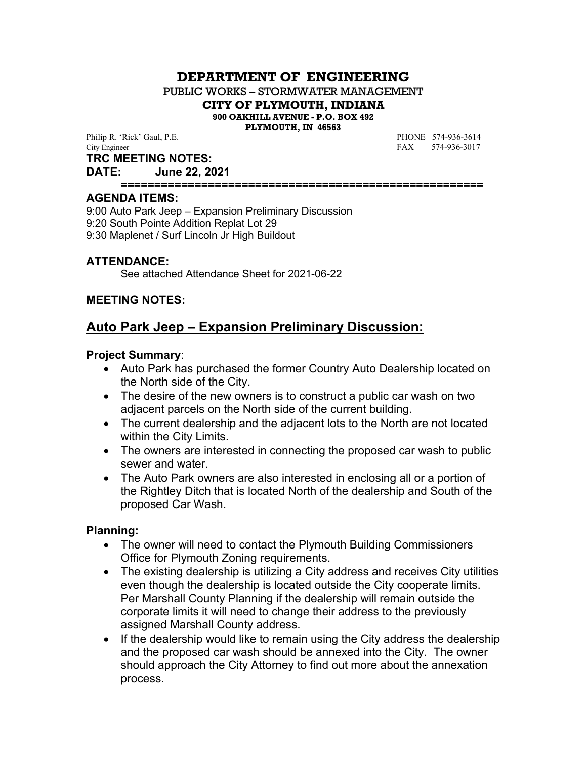# **DEPARTMENT OF ENGINEERING**

PUBLIC WORKS – STORMWATER MANAGEMENT

**CITY OF PLYMOUTH, INDIANA**

**900 OAKHILL AVENUE - P.O. BOX 492**

**PLYMOUTH, IN 46563**

Philip R. 'Rick' Gaul, P.E. **PHONE** 574-936-3614 City Engineer FAX 574-936-3017

#### **TRC MEETING NOTES:**

**DATE: June 22, 2021**

**======================================================**

#### **AGENDA ITEMS:**

9:00 Auto Park Jeep – Expansion Preliminary Discussion 9:20 South Pointe Addition Replat Lot 29 9:30 Maplenet / Surf Lincoln Jr High Buildout

#### **ATTENDANCE:**

See attached Attendance Sheet for 2021-06-22

#### **MEETING NOTES:**

# **Auto Park Jeep – Expansion Preliminary Discussion:**

#### **Project Summary**:

- Auto Park has purchased the former Country Auto Dealership located on the North side of the City.
- The desire of the new owners is to construct a public car wash on two adjacent parcels on the North side of the current building.
- The current dealership and the adjacent lots to the North are not located within the City Limits.
- The owners are interested in connecting the proposed car wash to public sewer and water.
- The Auto Park owners are also interested in enclosing all or a portion of the Rightley Ditch that is located North of the dealership and South of the proposed Car Wash.

#### **Planning:**

- The owner will need to contact the Plymouth Building Commissioners Office for Plymouth Zoning requirements.
- The existing dealership is utilizing a City address and receives City utilities even though the dealership is located outside the City cooperate limits. Per Marshall County Planning if the dealership will remain outside the corporate limits it will need to change their address to the previously assigned Marshall County address.
- If the dealership would like to remain using the City address the dealership and the proposed car wash should be annexed into the City. The owner should approach the City Attorney to find out more about the annexation process.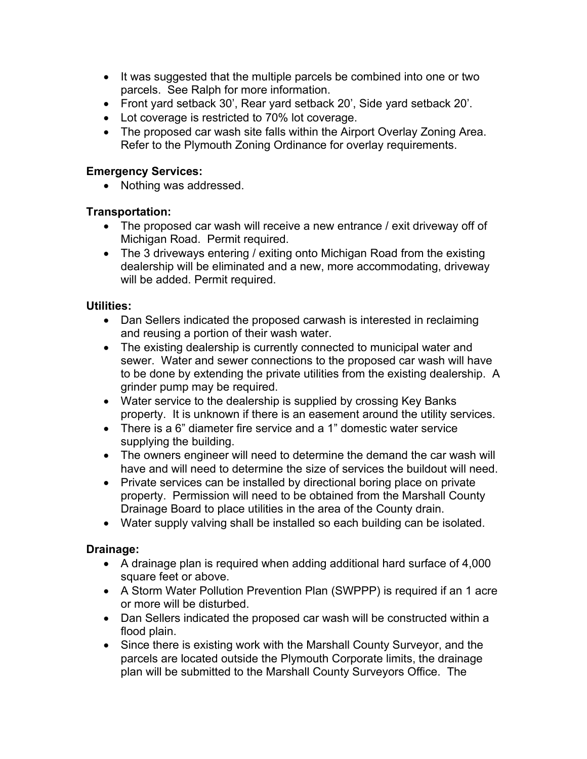- It was suggested that the multiple parcels be combined into one or two parcels. See Ralph for more information.
- Front yard setback 30', Rear yard setback 20', Side yard setback 20'.
- Lot coverage is restricted to 70% lot coverage.
- The proposed car wash site falls within the Airport Overlay Zoning Area. Refer to the Plymouth Zoning Ordinance for overlay requirements.

#### **Emergency Services:**

• Nothing was addressed.

#### **Transportation:**

- The proposed car wash will receive a new entrance / exit driveway off of Michigan Road. Permit required.
- The 3 driveways entering / exiting onto Michigan Road from the existing dealership will be eliminated and a new, more accommodating, driveway will be added. Permit required.

#### **Utilities:**

- Dan Sellers indicated the proposed carwash is interested in reclaiming and reusing a portion of their wash water.
- The existing dealership is currently connected to municipal water and sewer. Water and sewer connections to the proposed car wash will have to be done by extending the private utilities from the existing dealership. A grinder pump may be required.
- Water service to the dealership is supplied by crossing Key Banks property. It is unknown if there is an easement around the utility services.
- There is a 6" diameter fire service and a 1" domestic water service supplying the building.
- The owners engineer will need to determine the demand the car wash will have and will need to determine the size of services the buildout will need.
- Private services can be installed by directional boring place on private property. Permission will need to be obtained from the Marshall County Drainage Board to place utilities in the area of the County drain.
- Water supply valving shall be installed so each building can be isolated.

## **Drainage:**

- A drainage plan is required when adding additional hard surface of 4,000 square feet or above.
- A Storm Water Pollution Prevention Plan (SWPPP) is required if an 1 acre or more will be disturbed.
- Dan Sellers indicated the proposed car wash will be constructed within a flood plain.
- Since there is existing work with the Marshall County Surveyor, and the parcels are located outside the Plymouth Corporate limits, the drainage plan will be submitted to the Marshall County Surveyors Office. The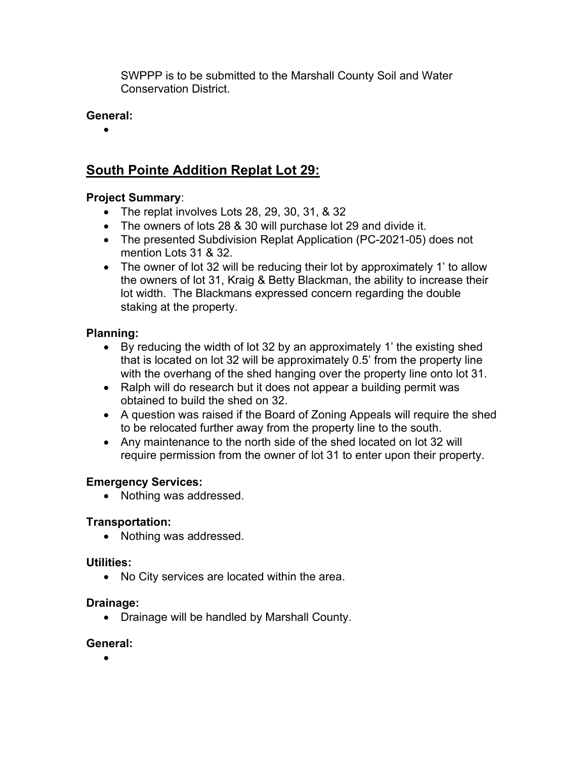SWPPP is to be submitted to the Marshall County Soil and Water Conservation District.

# **General:**

 $\bullet$ 

# **South Pointe Addition Replat Lot 29:**

# **Project Summary**:

- The replat involves Lots 28, 29, 30, 31, & 32
- The owners of lots 28 & 30 will purchase lot 29 and divide it.
- The presented Subdivision Replat Application (PC-2021-05) does not mention Lots 31 & 32.
- The owner of lot 32 will be reducing their lot by approximately 1' to allow the owners of lot 31, Kraig & Betty Blackman, the ability to increase their lot width. The Blackmans expressed concern regarding the double staking at the property.

## **Planning:**

- By reducing the width of lot 32 by an approximately 1' the existing shed that is located on lot 32 will be approximately 0.5' from the property line with the overhang of the shed hanging over the property line onto lot 31.
- Ralph will do research but it does not appear a building permit was obtained to build the shed on 32.
- A question was raised if the Board of Zoning Appeals will require the shed to be relocated further away from the property line to the south.
- Any maintenance to the north side of the shed located on lot 32 will require permission from the owner of lot 31 to enter upon their property.

## **Emergency Services:**

• Nothing was addressed.

## **Transportation:**

• Nothing was addressed.

## **Utilities:**

• No City services are located within the area.

## **Drainage:**

Drainage will be handled by Marshall County.

## **General:**

 $\bullet$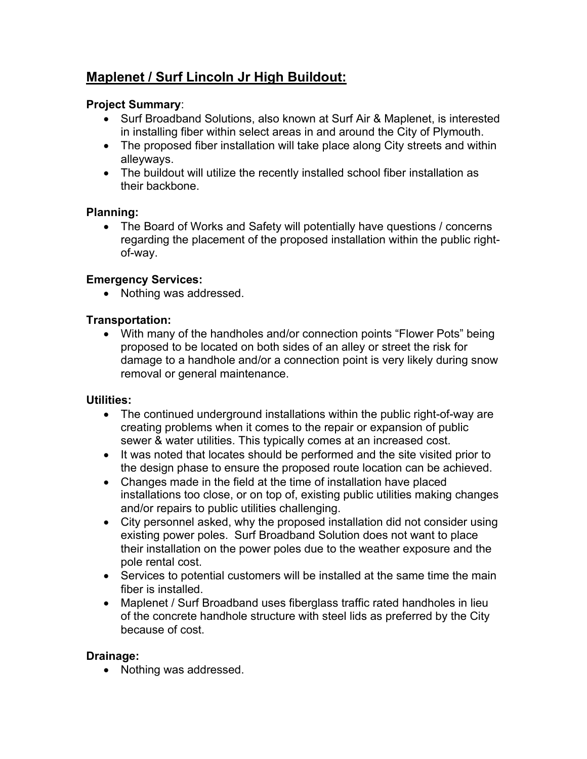# **Maplenet / Surf Lincoln Jr High Buildout:**

# **Project Summary**:

- Surf Broadband Solutions, also known at Surf Air & Maplenet, is interested in installing fiber within select areas in and around the City of Plymouth.
- The proposed fiber installation will take place along City streets and within alleyways.
- The buildout will utilize the recently installed school fiber installation as their backbone.

## **Planning:**

• The Board of Works and Safety will potentially have questions / concerns regarding the placement of the proposed installation within the public rightof-way.

## **Emergency Services:**

• Nothing was addressed.

#### **Transportation:**

• With many of the handholes and/or connection points "Flower Pots" being proposed to be located on both sides of an alley or street the risk for damage to a handhole and/or a connection point is very likely during snow removal or general maintenance.

## **Utilities:**

- The continued underground installations within the public right-of-way are creating problems when it comes to the repair or expansion of public sewer & water utilities. This typically comes at an increased cost.
- It was noted that locates should be performed and the site visited prior to the design phase to ensure the proposed route location can be achieved.
- Changes made in the field at the time of installation have placed installations too close, or on top of, existing public utilities making changes and/or repairs to public utilities challenging.
- City personnel asked, why the proposed installation did not consider using existing power poles. Surf Broadband Solution does not want to place their installation on the power poles due to the weather exposure and the pole rental cost.
- Services to potential customers will be installed at the same time the main fiber is installed.
- Maplenet / Surf Broadband uses fiberglass traffic rated handholes in lieu of the concrete handhole structure with steel lids as preferred by the City because of cost.

## **Drainage:**

• Nothing was addressed.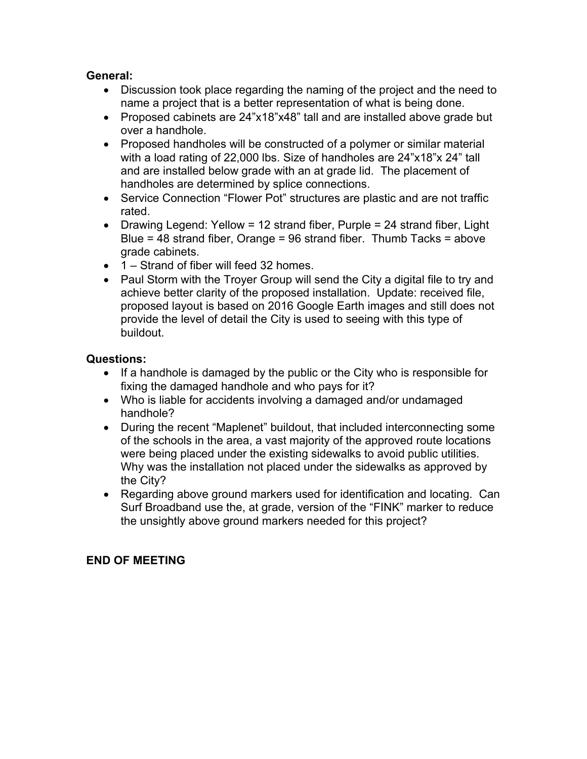#### **General:**

- Discussion took place regarding the naming of the project and the need to name a project that is a better representation of what is being done.
- Proposed cabinets are 24"x18"x48" tall and are installed above grade but over a handhole.
- Proposed handholes will be constructed of a polymer or similar material with a load rating of 22,000 lbs. Size of handholes are 24"x18"x 24" tall and are installed below grade with an at grade lid. The placement of handholes are determined by splice connections.
- Service Connection "Flower Pot" structures are plastic and are not traffic rated.
- Drawing Legend: Yellow = 12 strand fiber, Purple = 24 strand fiber, Light Blue = 48 strand fiber, Orange = 96 strand fiber. Thumb Tacks = above grade cabinets.
- 1 Strand of fiber will feed 32 homes.
- Paul Storm with the Troyer Group will send the City a digital file to try and achieve better clarity of the proposed installation. Update: received file, proposed layout is based on 2016 Google Earth images and still does not provide the level of detail the City is used to seeing with this type of buildout.

## **Questions:**

- If a handhole is damaged by the public or the City who is responsible for fixing the damaged handhole and who pays for it?
- Who is liable for accidents involving a damaged and/or undamaged handhole?
- During the recent "Maplenet" buildout, that included interconnecting some of the schools in the area, a vast majority of the approved route locations were being placed under the existing sidewalks to avoid public utilities. Why was the installation not placed under the sidewalks as approved by the City?
- Regarding above ground markers used for identification and locating. Can Surf Broadband use the, at grade, version of the "FINK" marker to reduce the unsightly above ground markers needed for this project?

## **END OF MEETING**